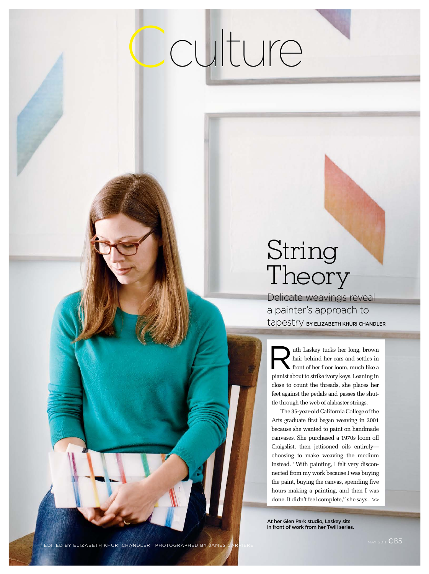## Cculture

## String Theory

Delicate weavings reveal a painter's approach to tapestry **BY ELIZABETH KHURI CHANDLER** 

uth Laskey tucks her long, brown hair behind her ears and settles in front of her floor loom, much like a pianist about to strike ivory keys. Leaning in close to count the threads, she places her feet against the pedals and passes the shuttle through the web of alabaster strings. R

The 35-year-old California College of the Arts graduate first began weaving in 2001 because she wanted to paint on handmade canvases. She purchased a 1970s loom off Craigslist, then jettisoned oils entirely choosing to make weaving the medium instead. "With painting, I felt very disconnected from my work because I was buying the paint, buying the canvas, spending five hours making a painting, and then I was done. It didn't feel complete," she says. >>

At her Glen Park studio, Laskey sits in front of work from her Twill series.